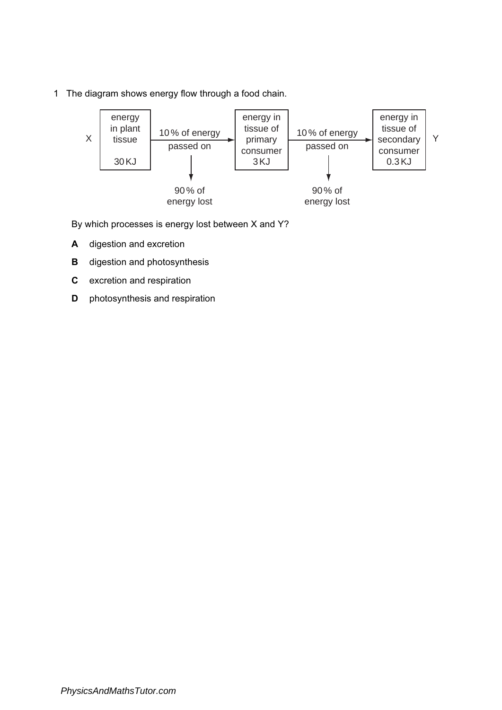1 The diagram shows energy flow through a food chain.



By which processes is energy lost between X and Y?

- A digestion and excretion
- **B** digestion and photosynthesis
- C excretion and respiration
- **D** photosynthesis and respiration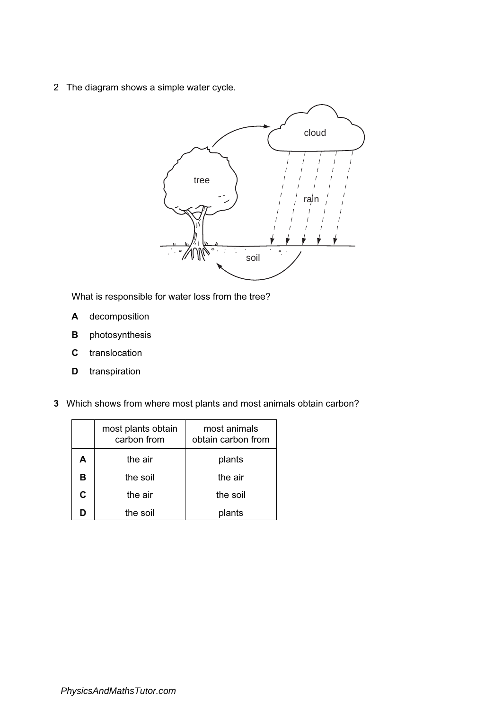2 The diagram shows a simple water cycle.



What is responsible for water loss from the tree?

- A decomposition
- **B** photosynthesis
- C translocation
- **D** transpiration
- 3 Which shows from where most plants and most animals obtain carbon?

|   | most plants obtain<br>carbon from | most animals<br>obtain carbon from |
|---|-----------------------------------|------------------------------------|
| А | the air                           | plants                             |
| в | the soil                          | the air                            |
| C | the air                           | the soil                           |
|   | the soil                          | lants                              |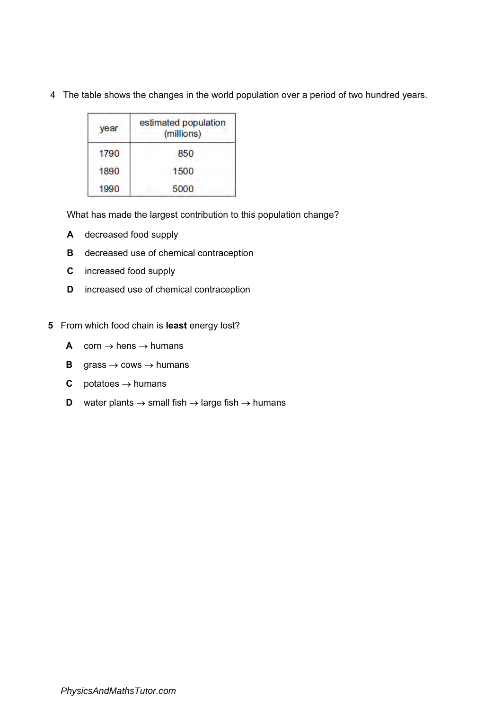| year | estimated population<br>(millions) |
|------|------------------------------------|
| 1790 | 850                                |
| 1890 | 1500                               |
| 1990 | 5000                               |

4 The table shows the changes in the world population over a period of two hundred years.

What has made the largest contribution to this population change?

- A decreased food supply
- **B** decreased use of chemical contraception
- C increased food supply
- D increased use of chemical contraception
- 5 From which food chain is least energy lost?
	- A corn  $\rightarrow$  hens  $\rightarrow$  humans
	- **B** grass  $\rightarrow$  cows  $\rightarrow$  humans
	- **C** potatoes  $\rightarrow$  humans
	- **D** water plants  $\rightarrow$  small fish  $\rightarrow$  large fish  $\rightarrow$  humans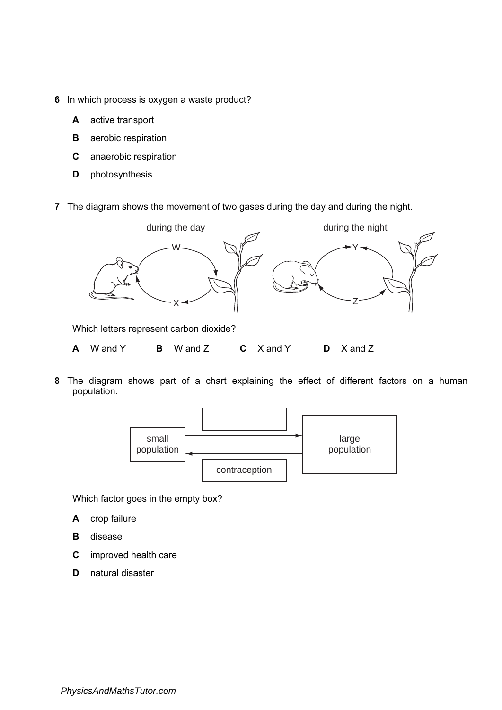- 6 In which process is oxygen a waste product?
	- A active transport
	- **B** aerobic respiration
	- C anaerobic respiration
	- D photosynthesis
- 7 The diagram shows the movement of two gases during the day and during the night.



Which letters represent carbon dioxide?

- A W and Y B W and Z C X and Y D X and Z
- 8 The diagram shows part of a chart explaining the effect of different factors on a human population.



Which factor goes in the empty box?

- A crop failure
- B disease
- C improved health care
- D natural disaster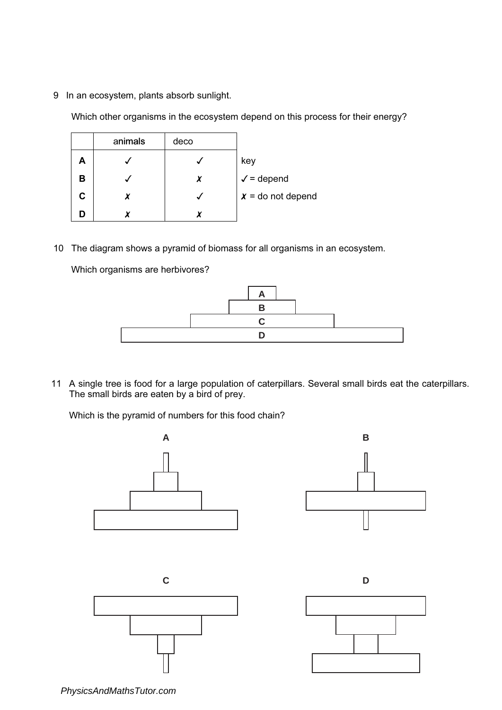9 In an ecosystem, plants absorb sunlight.

Which other organisms in the ecosystem depend on this process for their energy?

|    | animals | deco |                       |
|----|---------|------|-----------------------|
| Α  |         |      | key                   |
| В  |         | X    | $\checkmark$ = depend |
| C. | χ       |      | $x =$ do not depend   |
|    |         |      |                       |

10 The diagram shows a pyramid of biomass for all organisms in an ecosystem.

Which organisms are herbivores?



11 A single tree is food for a large population of caterpillars. Several small birds eat the caterpillars. The small birds are eaten by a bird of prey.

Which is the pyramid of numbers for this food chain?



*PhysicsAndMathsTutor.com*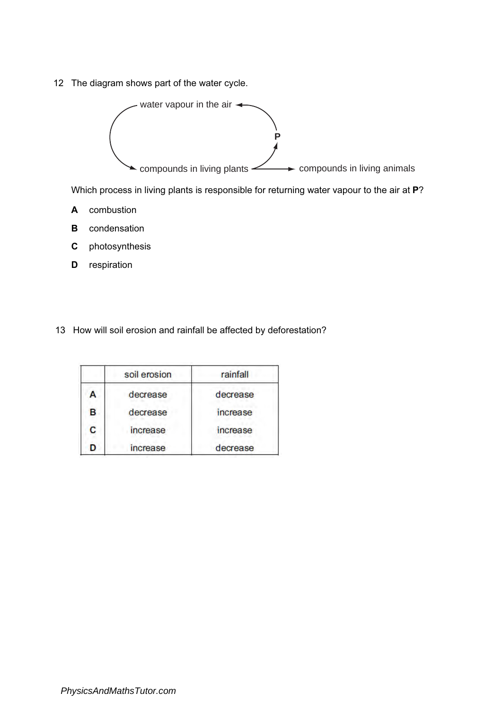12 The diagram shows part of the water cycle.



Which process in living plants is responsible for returning water vapour to the air at P?

- A combustion
- **B** condensation
- C photosynthesis
- **D** respiration
- 13 How will soil erosion and rainfall be affected by deforestation?

|   | soil erosion | rainfall |
|---|--------------|----------|
| А | decrease     | decrease |
| в | decrease     | increase |
| Ċ | increase     | increase |
| n | increase     | decrease |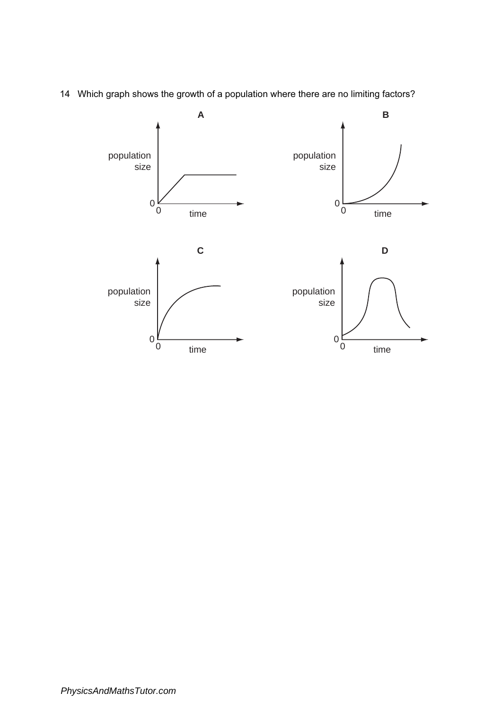

14 Which graph shows the growth of a population where there are no limiting factors?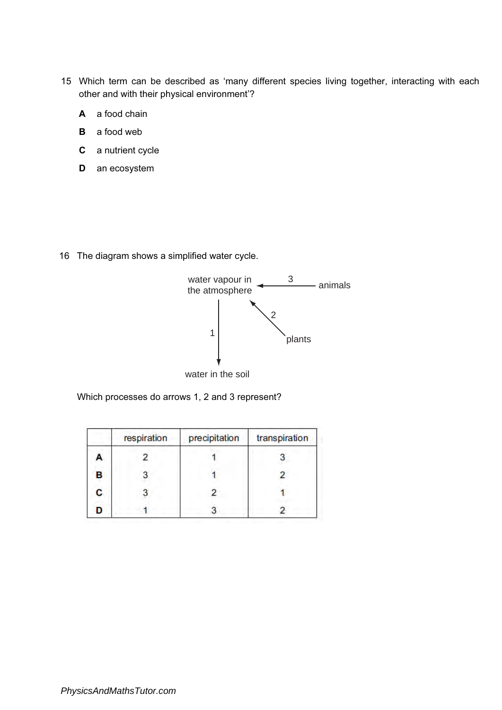- 15 Which term can be described as 'many different species living together, interacting with each other and with their physical environment'?
	- A a food chain
	- **B** a food web
	- C a nutrient cycle
	- D an ecosystem

16 The diagram shows a simplified water cycle.



Which processes do arrows 1, 2 and 3 represent?

|   | respiration | precipitation | transpiration |
|---|-------------|---------------|---------------|
| А |             |               |               |
| в |             |               |               |
| C |             |               |               |
| D |             |               |               |